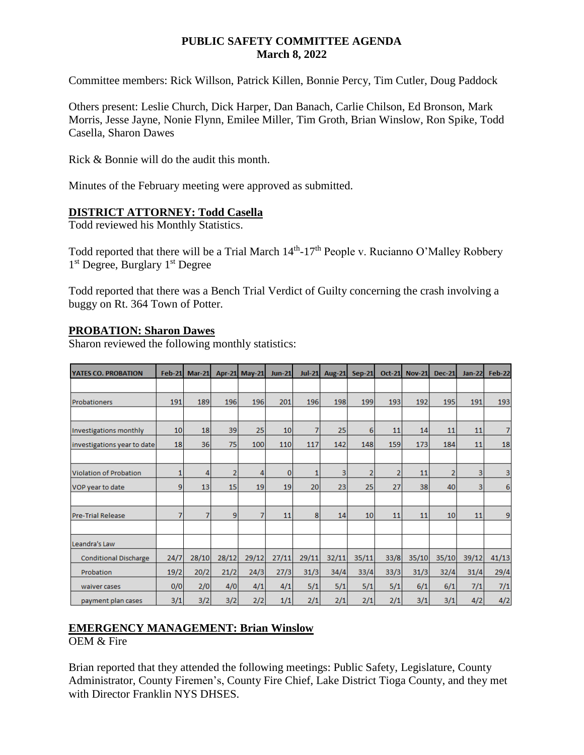### **PUBLIC SAFETY COMMITTEE AGENDA March 8, 2022**

Committee members: Rick Willson, Patrick Killen, Bonnie Percy, Tim Cutler, Doug Paddock

Others present: Leslie Church, Dick Harper, Dan Banach, Carlie Chilson, Ed Bronson, Mark Morris, Jesse Jayne, Nonie Flynn, Emilee Miller, Tim Groth, Brian Winslow, Ron Spike, Todd Casella, Sharon Dawes

Rick & Bonnie will do the audit this month.

Minutes of the February meeting were approved as submitted.

### **DISTRICT ATTORNEY: Todd Casella**

Todd reviewed his Monthly Statistics.

Todd reported that there will be a Trial March  $14<sup>th</sup>$ -17<sup>th</sup> People v. Rucianno O'Malley Robbery 1<sup>st</sup> Degree, Burglary 1<sup>st</sup> Degree

Todd reported that there was a Bench Trial Verdict of Guilty concerning the crash involving a buggy on Rt. 364 Town of Potter.

### **PROBATION: Sharon Dawes**

Sharon reviewed the following monthly statistics:

| YATES CO. PROBATION          | <b>Feb-21</b> | $Mar-21$ |                | Apr-21 May-21 | <b>Jun-21</b> | $Jul-21$ | <b>Aug-21</b> | <b>Sep-21</b>  | $Oct-21$       | <b>Nov-21</b> | <b>Dec-21</b>  | <b>Jan-22</b>  | <b>Feb-22</b> |
|------------------------------|---------------|----------|----------------|---------------|---------------|----------|---------------|----------------|----------------|---------------|----------------|----------------|---------------|
|                              |               |          |                |               |               |          |               |                |                |               |                |                |               |
| Probationers                 | 191           | 189      | 196            | 196           | 201           | 196      | 198           | 199            | 193            | 192           | 195            | 191            | 193           |
|                              |               |          |                |               |               |          |               |                |                |               |                |                |               |
| Investigations monthly       | 10            | 18       | 39             | 25            | 10            | 7        | 25            | 6              | 11             | 14            | 11             | 11             | 7             |
| investigations year to date  | 18            | 36       | 75             | 100           | 110           | 117      | 142           | 148            | 159            | 173           | 184            | 11             | 18            |
|                              |               |          |                |               |               |          |               |                |                |               |                |                |               |
| Violation of Probation       | 1             | 4        | $\overline{2}$ | 4             | 0             | 1        | 3             | $\overline{2}$ | $\overline{2}$ | 11            | $\overline{2}$ | 3              | 3             |
| VOP year to date             | 9             | 13       | 15             | 19            | 19            | 20       | 23            | 25             | 27             | 38            | 40             | $\overline{3}$ | 6             |
|                              |               |          |                |               |               |          |               |                |                |               |                |                |               |
| Pre-Trial Release            |               | 7        | 9              | 7             | 11            | 8        | 14            | 10             | 11             | 11            | 10             | 11             | 9             |
|                              |               |          |                |               |               |          |               |                |                |               |                |                |               |
| Leandra's Law                |               |          |                |               |               |          |               |                |                |               |                |                |               |
| <b>Conditional Discharge</b> | 24/7          | 28/10    | 28/12          | 29/12         | 27/11         | 29/11    | 32/11         | 35/11          | 33/8           | 35/10         | 35/10          | 39/12          | 41/13         |
| Probation                    | 19/2          | 20/2     | 21/2           | 24/3          | 27/3          | 31/3     | 34/4          | 33/4           | 33/3           | 31/3          | 32/4           | 31/4           | 29/4          |
| waiver cases                 | 0/0           | 2/0      | 4/0            | 4/1           | 4/1           | 5/1      | 5/1           | 5/1            | 5/1            | 6/1           | 6/1            | 7/1            | 7/1           |
| payment plan cases           | 3/1           | 3/2      | 3/2            | 2/2           | 1/1           | 2/1      | 2/1           | 2/1            | 2/1            | 3/1           | 3/1            | 4/2            | 4/2           |

# **EMERGENCY MANAGEMENT: Brian Winslow**

OEM & Fire

Brian reported that they attended the following meetings: Public Safety, Legislature, County Administrator, County Firemen's, County Fire Chief, Lake District Tioga County, and they met with Director Franklin NYS DHSES.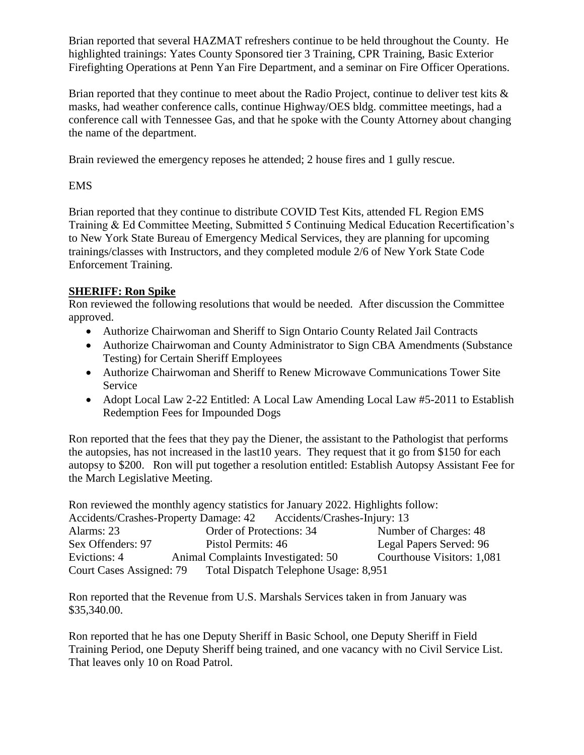Brian reported that several HAZMAT refreshers continue to be held throughout the County. He highlighted trainings: Yates County Sponsored tier 3 Training, CPR Training, Basic Exterior Firefighting Operations at Penn Yan Fire Department, and a seminar on Fire Officer Operations.

Brian reported that they continue to meet about the Radio Project, continue to deliver test kits & masks, had weather conference calls, continue Highway/OES bldg. committee meetings, had a conference call with Tennessee Gas, and that he spoke with the County Attorney about changing the name of the department.

Brain reviewed the emergency reposes he attended; 2 house fires and 1 gully rescue.

## EMS

Brian reported that they continue to distribute COVID Test Kits, attended FL Region EMS Training & Ed Committee Meeting, Submitted 5 Continuing Medical Education Recertification's to New York State Bureau of Emergency Medical Services, they are planning for upcoming trainings/classes with Instructors, and they completed module 2/6 of New York State Code Enforcement Training.

# **SHERIFF: Ron Spike**

Ron reviewed the following resolutions that would be needed. After discussion the Committee approved.

- Authorize Chairwoman and Sheriff to Sign Ontario County Related Jail Contracts
- Authorize Chairwoman and County Administrator to Sign CBA Amendments (Substance Testing) for Certain Sheriff Employees
- Authorize Chairwoman and Sheriff to Renew Microwave Communications Tower Site Service
- Adopt Local Law 2-22 Entitled: A Local Law Amending Local Law #5-2011 to Establish Redemption Fees for Impounded Dogs

Ron reported that the fees that they pay the Diener, the assistant to the Pathologist that performs the autopsies, has not increased in the last10 years. They request that it go from \$150 for each autopsy to \$200. Ron will put together a resolution entitled: Establish Autopsy Assistant Fee for the March Legislative Meeting.

Ron reviewed the monthly agency statistics for January 2022. Highlights follow: Accidents/Crashes-Property Damage: 42 Accidents/Crashes-Injury: 13 Alarms: 23 Order of Protections: 34 Number of Charges: 48<br>Sex Offenders: 97 Pistol Permits: 46 Legal Papers Served: 96 Pistol Permits: 46 Legal Papers Served: 96 Evictions: 4 Animal Complaints Investigated: 50 Courthouse Visitors: 1,081 Court Cases Assigned: 79 Total Dispatch Telephone Usage: 8,951

Ron reported that the Revenue from U.S. Marshals Services taken in from January was \$35,340.00.

Ron reported that he has one Deputy Sheriff in Basic School, one Deputy Sheriff in Field Training Period, one Deputy Sheriff being trained, and one vacancy with no Civil Service List. That leaves only 10 on Road Patrol.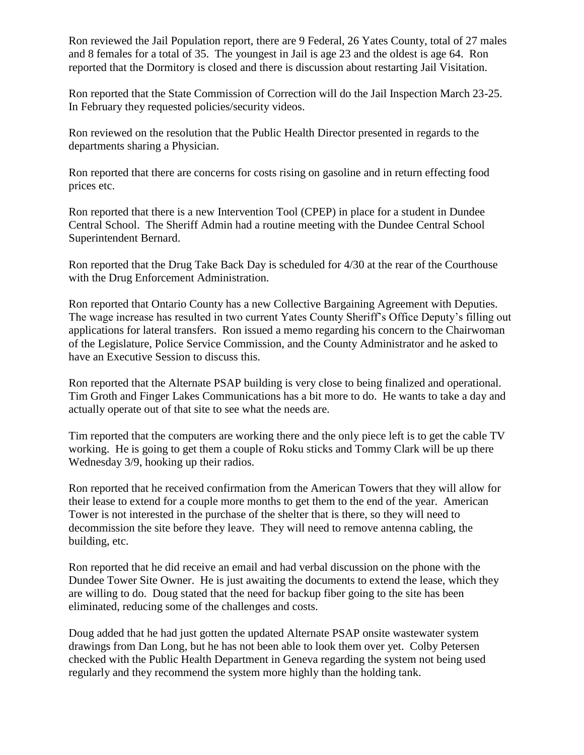Ron reviewed the Jail Population report, there are 9 Federal, 26 Yates County, total of 27 males and 8 females for a total of 35. The youngest in Jail is age 23 and the oldest is age 64. Ron reported that the Dormitory is closed and there is discussion about restarting Jail Visitation.

Ron reported that the State Commission of Correction will do the Jail Inspection March 23-25. In February they requested policies/security videos.

Ron reviewed on the resolution that the Public Health Director presented in regards to the departments sharing a Physician.

Ron reported that there are concerns for costs rising on gasoline and in return effecting food prices etc.

Ron reported that there is a new Intervention Tool (CPEP) in place for a student in Dundee Central School. The Sheriff Admin had a routine meeting with the Dundee Central School Superintendent Bernard.

Ron reported that the Drug Take Back Day is scheduled for 4/30 at the rear of the Courthouse with the Drug Enforcement Administration.

Ron reported that Ontario County has a new Collective Bargaining Agreement with Deputies. The wage increase has resulted in two current Yates County Sheriff's Office Deputy's filling out applications for lateral transfers. Ron issued a memo regarding his concern to the Chairwoman of the Legislature, Police Service Commission, and the County Administrator and he asked to have an Executive Session to discuss this.

Ron reported that the Alternate PSAP building is very close to being finalized and operational. Tim Groth and Finger Lakes Communications has a bit more to do. He wants to take a day and actually operate out of that site to see what the needs are.

Tim reported that the computers are working there and the only piece left is to get the cable TV working. He is going to get them a couple of Roku sticks and Tommy Clark will be up there Wednesday 3/9, hooking up their radios.

Ron reported that he received confirmation from the American Towers that they will allow for their lease to extend for a couple more months to get them to the end of the year. American Tower is not interested in the purchase of the shelter that is there, so they will need to decommission the site before they leave. They will need to remove antenna cabling, the building, etc.

Ron reported that he did receive an email and had verbal discussion on the phone with the Dundee Tower Site Owner. He is just awaiting the documents to extend the lease, which they are willing to do. Doug stated that the need for backup fiber going to the site has been eliminated, reducing some of the challenges and costs.

Doug added that he had just gotten the updated Alternate PSAP onsite wastewater system drawings from Dan Long, but he has not been able to look them over yet. Colby Petersen checked with the Public Health Department in Geneva regarding the system not being used regularly and they recommend the system more highly than the holding tank.